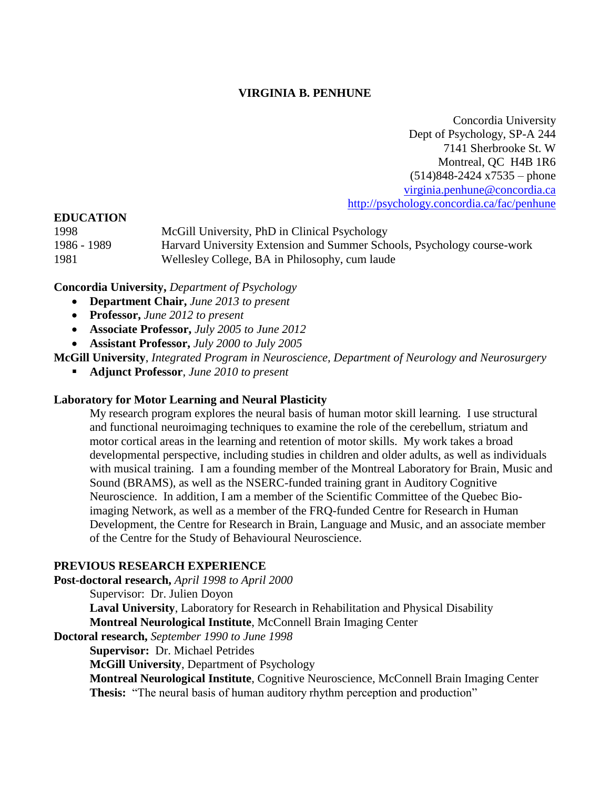## **VIRGINIA B. PENHUNE**

Concordia University Dept of Psychology, SP-A 244 7141 Sherbrooke St. W Montreal, QC H4B 1R6  $(514)848-2424 \times 7535$  – phone [virginia.penhune@concordia.ca](mailto:virginia.penhune@concordia.ca) <http://psychology.concordia.ca/fac/penhune>

#### **EDUCATION**

| 1998        | McGill University, PhD in Clinical Psychology                           |
|-------------|-------------------------------------------------------------------------|
| 1986 - 1989 | Harvard University Extension and Summer Schools, Psychology course-work |
| 1981        | Wellesley College, BA in Philosophy, cum laude                          |

**Concordia University,** *Department of Psychology*

- **Department Chair,** *June 2013 to present*
- **Professor,** *June 2012 to present*
- **Associate Professor,** *July 2005 to June 2012*
- **Assistant Professor,** *July 2000 to July 2005*

**McGill University**, *Integrated Program in Neuroscience, Department of Neurology and Neurosurgery*

**Adjunct Professor**, *June 2010 to present*

#### **Laboratory for Motor Learning and Neural Plasticity**

My research program explores the neural basis of human motor skill learning. I use structural and functional neuroimaging techniques to examine the role of the cerebellum, striatum and motor cortical areas in the learning and retention of motor skills. My work takes a broad developmental perspective, including studies in children and older adults, as well as individuals with musical training. I am a founding member of the Montreal Laboratory for Brain, Music and Sound (BRAMS), as well as the NSERC-funded training grant in Auditory Cognitive Neuroscience. In addition, I am a member of the Scientific Committee of the Quebec Bioimaging Network, as well as a member of the FRQ-funded Centre for Research in Human Development, the Centre for Research in Brain, Language and Music, and an associate member of the Centre for the Study of Behavioural Neuroscience.

## **PREVIOUS RESEARCH EXPERIENCE**

**Post-doctoral research,** *April 1998 to April 2000* Supervisor: Dr. Julien Doyon **Laval University**, Laboratory for Research in Rehabilitation and Physical Disability **Montreal Neurological Institute**, McConnell Brain Imaging Center **Doctoral research,** *September 1990 to June 1998* **Supervisor:** Dr. Michael Petrides **McGill University**, Department of Psychology

**Montreal Neurological Institute**, Cognitive Neuroscience, McConnell Brain Imaging Center **Thesis:** "The neural basis of human auditory rhythm perception and production"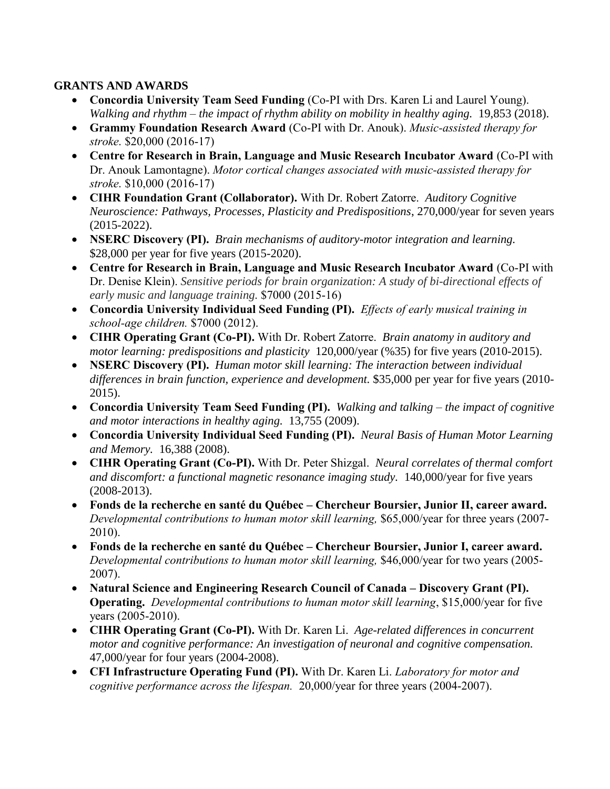## **GRANTS AND AWARDS**

- **Concordia University Team Seed Funding** (Co-PI with Drs. Karen Li and Laurel Young). *Walking and rhythm – the impact of rhythm ability on mobility in healthy aging.* 19,853 (2018).
- **Grammy Foundation Research Award** (Co-PI with Dr. Anouk). *Music-assisted therapy for stroke.* \$20,000 (2016-17)
- **Centre for Research in Brain, Language and Music Research Incubator Award** (Co-PI with Dr. Anouk Lamontagne). *Motor cortical changes associated with music-assisted therapy for stroke.* \$10,000 (2016-17)
- **CIHR Foundation Grant (Collaborator).** With Dr. Robert Zatorre. *Auditory Cognitive Neuroscience: Pathways, Processes, Plasticity and Predispositions*, 270,000/year for seven years (2015-2022).
- **NSERC Discovery (PI).** *Brain mechanisms of auditory-motor integration and learning.*  \$28,000 per year for five years (2015-2020).
- **Centre for Research in Brain, Language and Music Research Incubator Award** (Co-PI with Dr. Denise Klein). *Sensitive periods for brain organization: A study of bi-directional effects of early music and language training.* \$7000 (2015-16)
- **Concordia University Individual Seed Funding (PI).** *Effects of early musical training in school-age children.* \$7000 (2012).
- **CIHR Operating Grant (Co-PI).** With Dr. Robert Zatorre. *Brain anatomy in auditory and motor learning: predispositions and plasticity* 120,000/year (%35) for five years (2010-2015).
- **NSERC Discovery (PI).** *Human motor skill learning: The interaction between individual*  differences in brain function, experience and development. \$35,000 per year for five years (2010-2015).
- **Concordia University Team Seed Funding (PI).** *Walking and talking – the impact of cognitive and motor interactions in healthy aging.* 13,755 (2009).
- **Concordia University Individual Seed Funding (PI).** *Neural Basis of Human Motor Learning and Memory.* 16,388 (2008).
- **CIHR Operating Grant (Co-PI).** With Dr. Peter Shizgal. *Neural correlates of thermal comfort and discomfort: a functional magnetic resonance imaging study.* 140,000/year for five years (2008-2013).
- **Fonds de la recherche en santé du Québec – Chercheur Boursier, Junior II, career award.**  *Developmental contributions to human motor skill learning,* \$65,000/year for three years (2007- 2010).
- **Fonds de la recherche en santé du Québec – Chercheur Boursier, Junior I, career award.**  *Developmental contributions to human motor skill learning,* \$46,000/year for two years (2005- 2007).
- **Natural Science and Engineering Research Council of Canada – Discovery Grant (PI). Operating.** *Developmental contributions to human motor skill learning*, \$15,000/year for five years (2005-2010).
- **CIHR Operating Grant (Co-PI).** With Dr. Karen Li. *Age-related differences in concurrent motor and cognitive performance: An investigation of neuronal and cognitive compensation.* 47,000/year for four years (2004-2008).
- **CFI Infrastructure Operating Fund (PI).** With Dr. Karen Li. *Laboratory for motor and cognitive performance across the lifespan.* 20,000/year for three years (2004-2007).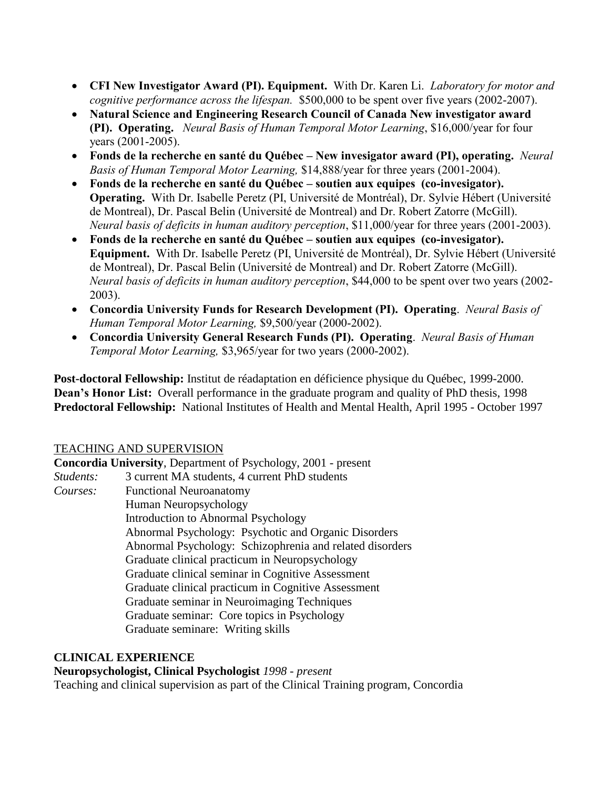- **CFI New Investigator Award (PI). Equipment.** With Dr. Karen Li. *Laboratory for motor and cognitive performance across the lifespan.* \$500,000 to be spent over five years (2002-2007).
- **Natural Science and Engineering Research Council of Canada New investigator award (PI). Operating.** *Neural Basis of Human Temporal Motor Learning*, \$16,000/year for four years (2001-2005).
- **Fonds de la recherche en santé du Québec – New invesigator award (PI), operating.** *Neural Basis of Human Temporal Motor Learning,* \$14,888/year for three years (2001-2004).
- **Fonds de la recherche en santé du Québec – soutien aux equipes (co-invesigator). Operating.** With Dr. Isabelle Peretz (PI, Université de Montréal), Dr. Sylvie Hébert (Université de Montreal), Dr. Pascal Belin (Université de Montreal) and Dr. Robert Zatorre (McGill). *Neural basis of deficits in human auditory perception*, \$11,000/year for three years (2001-2003).
- **Fonds de la recherche en santé du Québec – soutien aux equipes (co-invesigator). Equipment.** With Dr. Isabelle Peretz (PI, Université de Montréal), Dr. Sylvie Hébert (Université de Montreal), Dr. Pascal Belin (Université de Montreal) and Dr. Robert Zatorre (McGill). *Neural basis of deficits in human auditory perception*, \$44,000 to be spent over two years (2002- 2003).
- **Concordia University Funds for Research Development (PI). Operating**. *Neural Basis of Human Temporal Motor Learning,* \$9,500/year (2000-2002).
- **Concordia University General Research Funds (PI). Operating**. *Neural Basis of Human Temporal Motor Learning,* \$3,965/year for two years (2000-2002).

**Post-doctoral Fellowship:** Institut de réadaptation en déficience physique du Québec, 1999-2000. **Dean's Honor List:** Overall performance in the graduate program and quality of PhD thesis, 1998 **Predoctoral Fellowship:** National Institutes of Health and Mental Health, April 1995 - October 1997

## TEACHING AND SUPERVISION

**Concordia University**, Department of Psychology, 2001 - present *Students:* 3 current MA students, 4 current PhD students *Courses:* Functional Neuroanatomy Human Neuropsychology Introduction to Abnormal Psychology Abnormal Psychology: Psychotic and Organic Disorders Abnormal Psychology: Schizophrenia and related disorders Graduate clinical practicum in Neuropsychology Graduate clinical seminar in Cognitive Assessment Graduate clinical practicum in Cognitive Assessment Graduate seminar in Neuroimaging Techniques Graduate seminar: Core topics in Psychology Graduate seminare: Writing skills

## **CLINICAL EXPERIENCE**

# **Neuropsychologist, Clinical Psychologist** *1998 - present*

Teaching and clinical supervision as part of the Clinical Training program, Concordia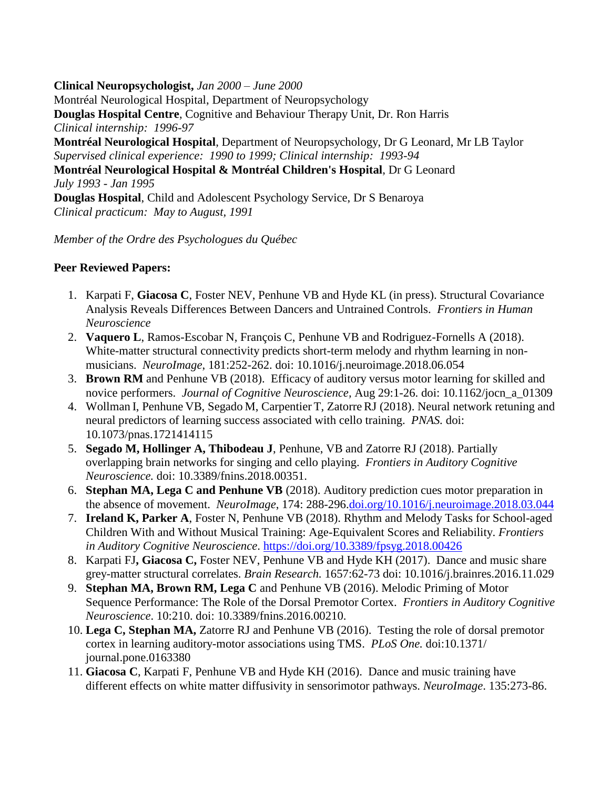**Clinical Neuropsychologist,** *Jan 2000 – June 2000* Montréal Neurological Hospital, Department of Neuropsychology **Douglas Hospital Centre**, Cognitive and Behaviour Therapy Unit, Dr. Ron Harris *Clinical internship: 1996-97* **Montréal Neurological Hospital**, Department of Neuropsychology, Dr G Leonard, Mr LB Taylor *Supervised clinical experience: 1990 to 1999; Clinical internship: 1993-94* **Montréal Neurological Hospital & Montréal Children's Hospital**, Dr G Leonard *July 1993 - Jan 1995* **Douglas Hospital**, Child and Adolescent Psychology Service, Dr S Benaroya *Clinical practicum: May to August, 1991*

*Member of the Ordre des Psychologues du Québec*

## **Peer Reviewed Papers:**

- 1. Karpati F, **Giacosa C**, Foster NEV, Penhune VB and Hyde KL (in press). Structural Covariance Analysis Reveals Differences Between Dancers and Untrained Controls. *Frontiers in Human Neuroscience*
- 2. **Vaquero L**, Ramos-Escobar N, François C, Penhune VB and Rodriguez-Fornells A (2018). White-matter structural connectivity predicts short-term melody and rhythm learning in nonmusicians. *NeuroImage*, 181:252-262. doi: 10.1016/j.neuroimage.2018.06.054
- 3. **Brown RM** and Penhune VB (2018). Efficacy of auditory versus motor learning for skilled and novice performers. *Journal of Cognitive Neuroscience,* Aug 29:1-26. doi: 10.1162/jocn\_a\_01309
- 4. Wollman I, Penhune VB, Segado M, Carpentier T, ZatorreRJ (2018). Neural network retuning and neural predictors of learning success associated with cello training. *PNAS.* doi: 10.1073/pnas.1721414115
- 5. **Segado M, Hollinger A, Thibodeau J**, Penhune, VB and Zatorre RJ (2018). Partially overlapping brain networks for singing and cello playing. *Frontiers in Auditory Cognitive Neuroscience.* doi: 10.3389/fnins.2018.00351.
- 6. **Stephan MA, Lega C and Penhune VB** (2018). Auditory prediction cues motor preparation in the absence of movement. *NeuroImage*, 174: 288-296[.doi.org/10.1016/j.neuroimage.2018.03.044](https://doi.org/10.1016/j.neuroimage.2018.03.044)
- 7. **Ireland K, Parker A**, Foster N, Penhune VB (2018). Rhythm and Melody Tasks for School-aged Children With and Without Musical Training: Age-Equivalent Scores and Reliability. *Frontiers in Auditory Cognitive Neuroscience*. <https://doi.org/10.3389/fpsyg.2018.00426>
- 8. Karpati FJ**, Giacosa C,** Foster NEV, Penhune VB and Hyde KH (2017). Dance and music share grey-matter structural correlates. *Brain Research.* 1657:62-73 doi: 10.1016/j.brainres.2016.11.029
- 9. **Stephan MA, Brown RM, Lega C** and Penhune VB (2016). Melodic Priming of Motor Sequence Performance: The Role of the Dorsal Premotor Cortex. *Frontiers in Auditory Cognitive Neuroscience*. 10:210. doi: 10.3389/fnins.2016.00210.
- 10. **Lega C, Stephan MA,** Zatorre RJ and Penhune VB (2016). Testing the role of dorsal premotor cortex in learning auditory-motor associations using TMS. *PLoS One.* doi:10.1371/ journal.pone.0163380
- 11. **Giacosa C**, Karpati F, Penhune VB and Hyde KH (2016). Dance and music training have different effects on white matter diffusivity in sensorimotor pathways. *NeuroImage*. 135:273-86.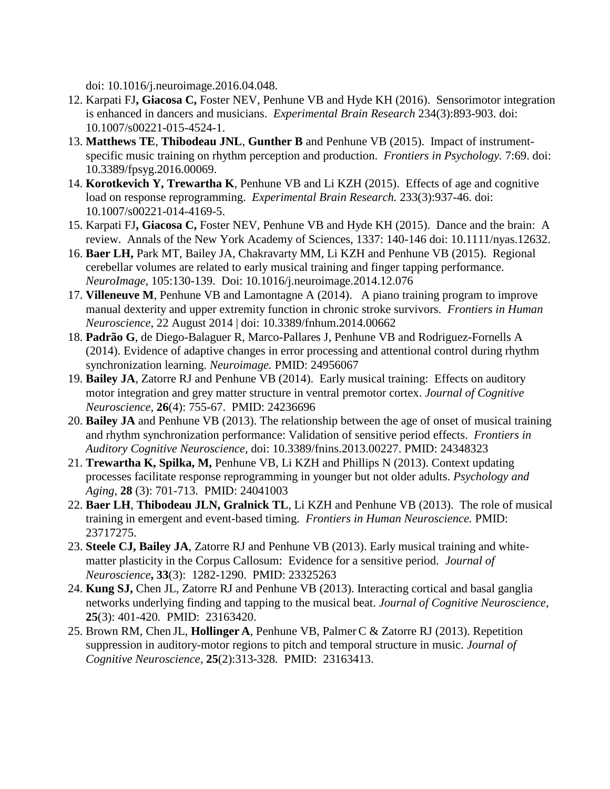doi: 10.1016/j.neuroimage.2016.04.048.

- 12. Karpati FJ**, Giacosa C,** Foster NEV, Penhune VB and Hyde KH (2016). Sensorimotor integration is enhanced in dancers and musicians. *Experimental Brain Research* 234(3):893-903. doi: 10.1007/s00221-015-4524-1.
- 13. **Matthews TE**, **Thibodeau JNL**, **Gunther B** and Penhune VB (2015). Impact of instrumentspecific music training on rhythm perception and production. *Frontiers in Psychology.* 7:69. doi: 10.3389/fpsyg.2016.00069.
- 14. **Korotkevich Y, Trewartha K**, Penhune VB and Li KZH (2015). Effects of age and cognitive load on response reprogramming. *Experimental Brain Research.* 233(3):937-46. doi: 10.1007/s00221-014-4169-5.
- 15. Karpati FJ**, Giacosa C,** Foster NEV, Penhune VB and Hyde KH (2015). Dance and the brain: A review. Annals of the New York Academy of Sciences, 1337: 140-146 doi: 10.1111/nyas.12632.
- 16. **Baer LH,** Park MT, Bailey JA, Chakravarty MM, Li KZH and Penhune VB (2015).Regional cerebellar volumes are related to early musical training and finger tapping performance. *NeuroImage,* 105:130-139. Doi: 10.1016/j.neuroimage.2014.12.076
- 17. **Villeneuve M**, Penhune VB and Lamontagne A (2014). A piano training program to improve manual dexterity and upper extremity function in chronic stroke survivors. *Frontiers in Human Neuroscience*, 22 August 2014 | doi: 10.3389/fnhum.2014.00662
- 18. **Padrão G**, de Diego-Balaguer R, Marco-Pallares J, Penhune VB and Rodriguez-Fornells A (2014). Evidence of adaptive changes in error processing and attentional control during rhythm synchronization learning. *Neuroimage.* PMID: 24956067
- 19. **Bailey JA**, Zatorre RJ and Penhune VB (2014). Early musical training: Effects on auditory motor integration and grey matter structure in ventral premotor cortex. *Journal of Cognitive Neuroscience,* **26**(4): 755-67. PMID: 24236696
- 20. **Bailey JA** and Penhune VB (2013). The relationship between the age of onset of musical training and rhythm synchronization performance: Validation of sensitive period effects. *Frontiers in Auditory Cognitive Neuroscience*, doi: 10.3389/fnins.2013.00227. PMID: 24348323
- 21. **Trewartha K, Spilka, M,** Penhune VB, Li KZH and Phillips N (2013). Context updating processes facilitate response reprogramming in younger but not older adults. *Psychology and Aging,* **28** (3): 701-713. PMID: 24041003
- 22. **Baer LH**, **Thibodeau JLN, Gralnick TL**, Li KZH and Penhune VB (2013). The role of musical training in emergent and event-based timing. *Frontiers in Human Neuroscience.* PMID: 23717275.
- 23. **Steele CJ, Bailey JA**, Zatorre RJ and Penhune VB (2013). Early musical training and whitematter plasticity in the Corpus Callosum: Evidence for a sensitive period. *Journal of Neuroscience***, 33**(3): 1282-1290. PMID: 23325263
- 24. **Kung SJ,** Chen JL, Zatorre RJ and Penhune VB (2013). Interacting cortical and basal ganglia networks underlying finding and tapping to the musical beat. *Journal of Cognitive Neuroscience,*  **25**(3): 401-420*.* PMID: 23163420.
- 25. Brown RM, Chen JL, **Hollinger A**, Penhune VB, Palmer C & Zatorre RJ (2013). Repetition suppression in auditory-motor regions to pitch and temporal structure in music. *Journal of Cognitive Neuroscience,* **25**(2):313-328*.* PMID: 23163413.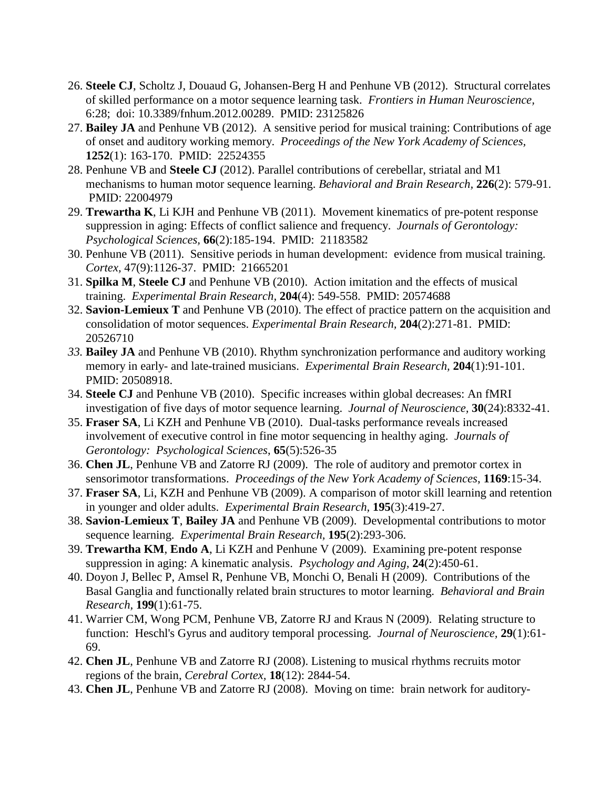- 26. **Steele CJ**, Scholtz J, Douaud G, Johansen-Berg H and Penhune VB (2012). Structural correlates of skilled performance on a motor sequence learning task. *Frontiers in Human Neuroscience,*  6:28;doi: 10.3389/fnhum.2012.00289. PMID: 23125826
- 27. **Bailey JA** and Penhune VB (2012). A sensitive period for musical training: Contributions of age of onset and auditory working memory. *Proceedings of the New York Academy of Sciences,*  **1252**(1): 163-170. PMID: 22524355
- 28. Penhune VB and **Steele CJ** (2012). Parallel contributions of cerebellar, striatal and M1 mechanisms to human motor sequence learning. *Behavioral and Brain Research,* **226**(2): 579-91. PMID: 22004979
- 29. **Trewartha K**, Li KJH and Penhune VB (2011). Movement kinematics of pre-potent response suppression in aging: Effects of conflict salience and frequency. *Journals of Gerontology: Psychological Sciences,* **66**(2):185-194. PMID: 21183582
- 30. Penhune VB (2011). Sensitive periods in human development: evidence from musical training. *Cortex,* 47(9):1126-37. PMID: 21665201
- 31. **Spilka M**, **Steele CJ** and Penhune VB (2010). Action imitation and the effects of musical training. *Experimental Brain Research,* **204**(4): 549-558. PMID: 20574688
- 32. **Savion-Lemieux T** and Penhune VB (2010). The effect of practice pattern on the acquisition and consolidation of motor sequences. *Experimental Brain Research,* **204**(2):271-81. PMID: 20526710
- *33.* **Bailey JA** and Penhune VB (2010). Rhythm synchronization performance and auditory working memory in early- and late-trained musicians. *Experimental Brain Research,* **204**(1):91-101. PMID: 20508918.
- 34. **Steele CJ** and Penhune VB (2010). Specific increases within global decreases: An fMRI investigation of five days of motor sequence learning. *Journal of Neuroscience,* **30**(24):8332-41.
- 35. **Fraser SA**, Li KZH and Penhune VB (2010). Dual-tasks performance reveals increased involvement of executive control in fine motor sequencing in healthy aging. *Journals of Gerontology: Psychological Sciences*, **65**(5):526-35
- 36. **Chen JL**, Penhune VB and Zatorre RJ (2009). [The role of auditory and premotor cortex in](http://www.ncbi.nlm.nih.gov/pubmed/19673752?ordinalpos=7&itool=EntrezSystem2.PEntrez.Pubmed.Pubmed_ResultsPanel.Pubmed_DefaultReportPanel.Pubmed_RVDocSum)  [sensorimotor transformations.](http://www.ncbi.nlm.nih.gov/pubmed/19673752?ordinalpos=7&itool=EntrezSystem2.PEntrez.Pubmed.Pubmed_ResultsPanel.Pubmed_DefaultReportPanel.Pubmed_RVDocSum) *Proceedings of the New York Academy of Sciences*, **1169**:15-34.
- 37. **Fraser SA**, Li, KZH and Penhune VB (2009). A comparison of motor skill learning and retention in younger and older adults. *Experimental Brain Research,* **195**(3):419-27.
- 38. **Savion-Lemieux T**, **Bailey JA** and Penhune VB (2009). Developmental contributions to motor sequence learning. *Experimental Brain Research,* **195**(2):293-306.
- 39. **Trewartha KM**, **Endo A**, Li KZH and Penhune V (2009). Examining pre-potent response suppression in aging: A kinematic analysis. *Psychology and Aging,* **24**(2):450-61.
- 40. Doyon J, Bellec P, Amsel R, Penhune VB, Monchi O, Benali H (2009). Contributions of the Basal Ganglia and functionally related brain structures to motor learning. *Behavioral and Brain Research,* **199**(1):61-75.
- 41. Warrier CM, Wong PCM, Penhune VB, Zatorre RJ and Kraus N (2009). Relating structure to function: Heschl's Gyrus and auditory temporal processing. *Journal of Neuroscience,* **29**(1):61- 69.
- 42. **Chen JL**, Penhune VB and Zatorre RJ (2008). Listening to musical rhythms recruits motor regions of the brain, *Cerebral Cortex,* **18**(12): 2844-54.
- 43. **Chen JL**, Penhune VB and Zatorre RJ (2008). Moving on time: brain network for auditory-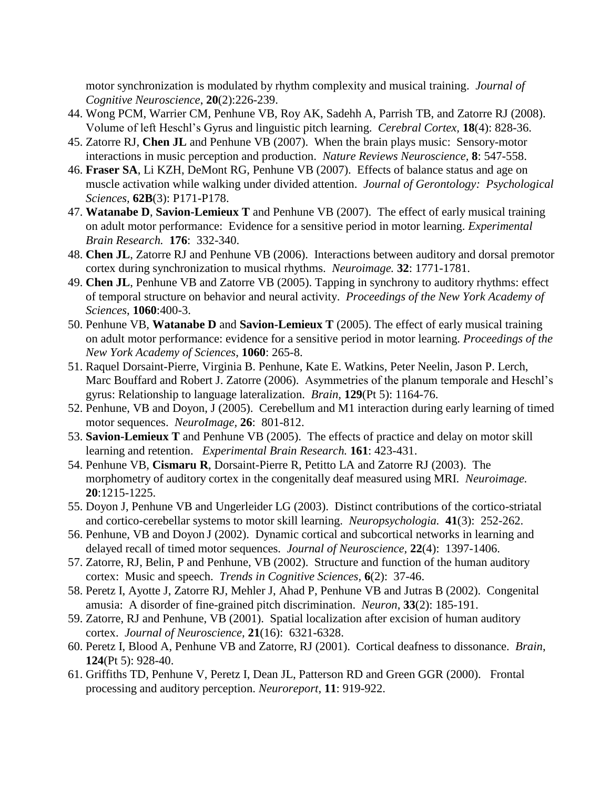motor synchronization is modulated by rhythm complexity and musical training. *Journal of Cognitive Neuroscience*, **20**(2):226-239.

- 44. Wong PCM, Warrier CM, Penhune VB, Roy AK, Sadehh A, Parrish TB, and Zatorre RJ (2008). Volume of left Heschl's Gyrus and linguistic pitch learning. *Cerebral Cortex,* **18**(4): 828-36.
- 45. Zatorre RJ, **Chen JL** and Penhune VB (2007). When the brain plays music: Sensory-motor interactions in music perception and production. *Nature Reviews Neuroscience,* **8**: 547-558.
- 46. **Fraser SA**, Li KZH, DeMont RG, Penhune VB (2007). Effects of balance status and age on muscle activation while walking under divided attention. *Journal of Gerontology: Psychological Sciences,* **62B**(3): P171-P178.
- 47. **Watanabe D**, **Savion-Lemieux T** and Penhune VB (2007). The effect of early musical training on adult motor performance: Evidence for a sensitive period in motor learning. *Experimental Brain Research.* **176**: 332-340.
- 48. **Chen JL**, Zatorre RJ and Penhune VB (2006). Interactions between auditory and dorsal premotor cortex during synchronization to musical rhythms. *Neuroimage.* **32**: 1771-1781.
- 49. **Chen JL**, Penhune VB and Zatorre VB (2005). [Tapping in synchrony to auditory rhythms: effect](http://www.ncbi.nlm.nih.gov/pubmed/16597792)  [of temporal structure on behavior and neural activity.](http://www.ncbi.nlm.nih.gov/pubmed/16597792) *Proceedings of the New York Academy of Sciences*, **1060**:400-3.
- 50. Penhune VB, **Watanabe D** and **Savion-Lemieux T** (2005). [The effect of early musical training](http://www.ncbi.nlm.nih.gov/pubmed/16597774)  [on adult motor performance: evidence for a sensitive period in motor learning.](http://www.ncbi.nlm.nih.gov/pubmed/16597774) *Proceedings of the New York Academy of Sciences*, **1060**: 265-8.
- 51. Raquel Dorsaint-Pierre, Virginia B. Penhune, Kate E. Watkins, Peter Neelin, Jason P. Lerch, Marc Bouffard and Robert J. Zatorre (2006). Asymmetries of the planum temporale and Heschl's gyrus: Relationship to language lateralization. *Brain,* **129**(Pt 5): 1164-76.
- 52. Penhune, VB and Doyon, J (2005). Cerebellum and M1 interaction during early learning of timed motor sequences. *NeuroImage,* **26**: 801-812.
- 53. **Savion-Lemieux T** and Penhune VB (2005). The effects of practice and delay on motor skill learning and retention. *Experimental Brain Research.* **161**: 423-431.
- 54. Penhune VB, **Cismaru R**, Dorsaint-Pierre R, Petitto LA and Zatorre RJ (2003). The morphometry of auditory cortex in the congenitally deaf measured using MRI. *Neuroimage.*  **20**:1215-1225.
- 55. Doyon J, Penhune VB and Ungerleider LG (2003). Distinct contributions of the cortico-striatal and cortico-cerebellar systems to motor skill learning. *Neuropsychologia.* **41**(3): 252-262.
- 56. Penhune, VB and Doyon J (2002). Dynamic cortical and subcortical networks in learning and delayed recall of timed motor sequences. *Journal of Neuroscience,* **22**(4): 1397-1406.
- 57. Zatorre, RJ, Belin, P and Penhune, VB (2002). Structure and function of the human auditory cortex: Music and speech. *Trends in Cognitive Sciences,* **6**(2): 37-46.
- 58. Peretz I, Ayotte J, Zatorre RJ, Mehler J, Ahad P, Penhune VB and Jutras B (2002). Congenital amusia: A disorder of fine-grained pitch discrimination. *Neuron*, **33**(2): 185-191.
- 59. Zatorre, RJ and Penhune, VB (2001). Spatial localization after excision of human auditory cortex. *Journal of Neuroscience,* **21**(16): 6321-6328.
- 60. Peretz I, Blood A, Penhune VB and Zatorre, RJ (2001). Cortical deafness to dissonance. *Brain*, **124**(Pt 5): 928-40.
- 61. Griffiths TD, Penhune V, Peretz I, Dean JL, Patterson RD and Green GGR (2000). Frontal processing and auditory perception. *Neuroreport*, **11**: 919-922.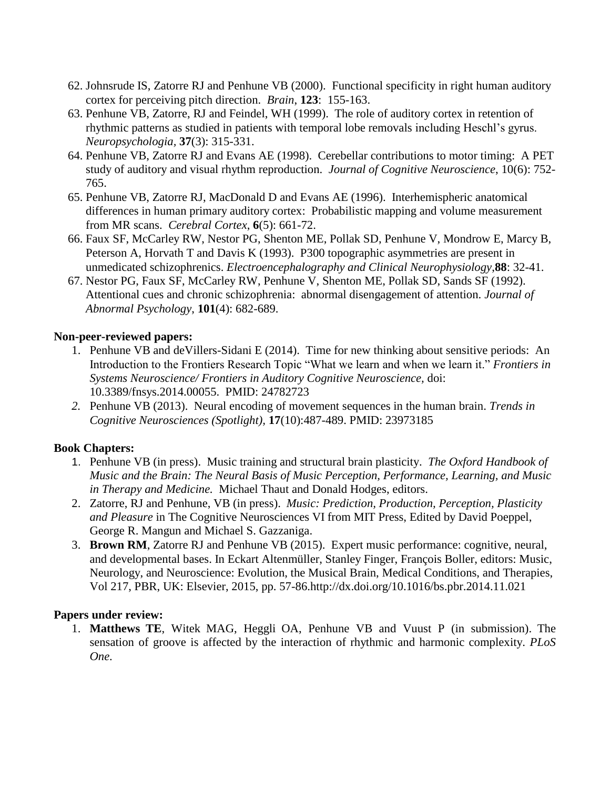- 62. Johnsrude IS, Zatorre RJ and Penhune VB (2000). Functional specificity in right human auditory cortex for perceiving pitch direction. *Brain*, **123**: 155-163.
- 63. Penhune VB, Zatorre, RJ and Feindel, WH (1999). The role of auditory cortex in retention of rhythmic patterns as studied in patients with temporal lobe removals including Heschl's gyrus. *Neuropsychologia,* **37**(3): 315-331.
- 64. Penhune VB, Zatorre RJ and Evans AE (1998). Cerebellar contributions to motor timing: A PET study of auditory and visual rhythm reproduction. *Journal of Cognitive Neuroscience*, 10(6): 752- 765.
- 65. Penhune VB, Zatorre RJ, MacDonald D and Evans AE (1996). Interhemispheric anatomical differences in human primary auditory cortex: Probabilistic mapping and volume measurement from MR scans. *Cerebral Cortex*, **6**(5): 661-72.
- 66. Faux SF, McCarley RW, Nestor PG, Shenton ME, Pollak SD, Penhune V, Mondrow E, Marcy B, Peterson A, Horvath T and Davis K (1993). P300 topographic asymmetries are present in unmedicated schizophrenics. *Electroencephalography and Clinical Neurophysiology*,**88**: 32-41.
- 67. Nestor PG, Faux SF, McCarley RW, Penhune V, Shenton ME, Pollak SD, Sands SF (1992). Attentional cues and chronic schizophrenia: abnormal disengagement of attention. *Journal of Abnormal Psychology*, **101**(4): 682-689.

## **Non-peer-reviewed papers:**

- 1. Penhune VB and deVillers-Sidani E (2014). Time for new thinking about sensitive periods: An Introduction to the Frontiers Research Topic "What we learn and when we learn it." *Frontiers in Systems Neuroscience/ Frontiers in Auditory Cognitive Neuroscience,* doi: 10.3389/fnsys.2014.00055. PMID: 24782723
- *2.* Penhune VB (2013). Neural encoding of movement sequences in the human brain. *Trends in Cognitive Neurosciences (Spotlight),* **17**(10):487-489. PMID: 23973185

# **Book Chapters:**

- 1. Penhune VB (in press). Music training and structural brain plasticity. *The Oxford Handbook of Music and the Brain: The Neural Basis of Music Perception, Performance, Learning, and Music in Therapy and Medicine.* Michael Thaut and Donald Hodges, editors.
- 2. Zatorre, RJ and Penhune, VB (in press). *Music: Prediction, Production, Perception, Plasticity and Pleasure* in The Cognitive Neurosciences VI from MIT Press, Edited by David Poeppel, George R. Mangun and Michael S. Gazzaniga.
- 3. **Brown RM**, Zatorre RJ and Penhune VB (2015). Expert music performance: cognitive, neural, and developmental bases. In Eckart Altenmüller, Stanley Finger, François Boller, editors: Music, Neurology, and Neuroscience: Evolution, the Musical Brain, Medical Conditions, and Therapies, Vol 217, PBR, UK: Elsevier, 2015, pp. 57-86.http://dx.doi.org/10.1016/bs.pbr.2014.11.021

## **Papers under review:**

1. **Matthews TE**, Witek MAG, Heggli OA, Penhune VB and Vuust P (in submission). The sensation of groove is affected by the interaction of rhythmic and harmonic complexity. *PLoS One*.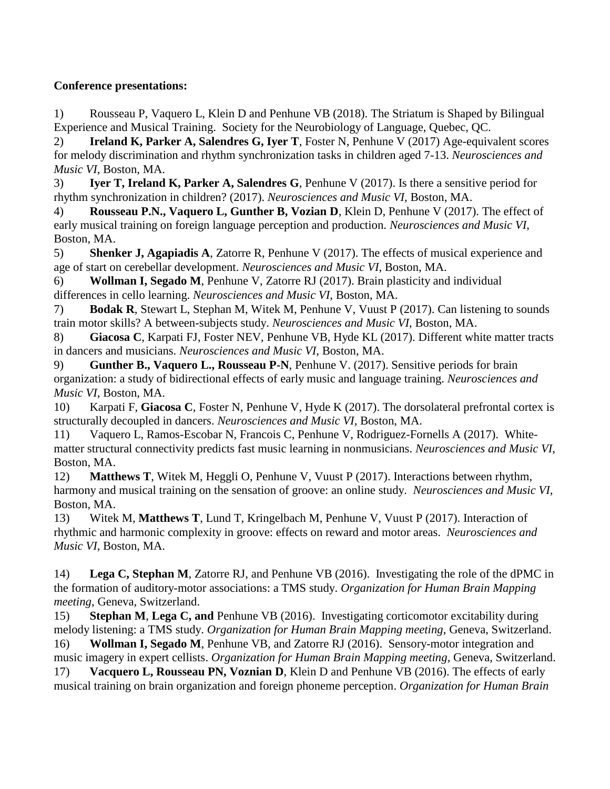## **Conference presentations:**

1) Rousseau P, Vaquero L, Klein D and Penhune VB (2018). The Striatum is Shaped by Bilingual Experience and Musical Training. Society for the Neurobiology of Language, Quebec, QC.

2) **Ireland K, Parker A, Salendres G, Iyer T**, Foster N, Penhune V (2017) Age-equivalent scores for melody discrimination and rhythm synchronization tasks in children aged 7-13. *Neurosciences and Music VI*, Boston, MA.

3) **Iyer T, Ireland K, Parker A, Salendres G**, Penhune V (2017). Is there a sensitive period for rhythm synchronization in children? (2017). *Neurosciences and Music VI*, Boston, MA.

4) **Rousseau P.N., Vaquero L, Gunther B, Vozian D**, Klein D, Penhune V (2017). The effect of early musical training on foreign language perception and production. *Neurosciences and Music VI*, Boston, MA.

5) **Shenker J, Agapiadis A**, Zatorre R, Penhune V (2017). The effects of musical experience and age of start on cerebellar development. *Neurosciences and Music VI*, Boston, MA.

6) **Wollman I, Segado M**, Penhune V, Zatorre RJ (2017). Brain plasticity and individual differences in cello learning. *Neurosciences and Music VI*, Boston, MA.

7) **Bodak R**, Stewart L, Stephan M, Witek M, Penhune V, Vuust P (2017). Can listening to sounds train motor skills? A between-subjects study. *Neurosciences and Music VI*, Boston, MA.

8) **Giacosa C**, Karpati FJ, Foster NEV, Penhune VB, Hyde KL (2017). Different white matter tracts in dancers and musicians. *Neurosciences and Music VI*, Boston, MA.

9) **Gunther B., Vaquero L., Rousseau P-N**, Penhune V. (2017). Sensitive periods for brain organization: a study of bidirectional effects of early music and language training. *Neurosciences and Music VI*, Boston, MA.

10) Karpati F, **Giacosa C**, Foster N, Penhune V, Hyde K (2017). The dorsolateral prefrontal cortex is structurally decoupled in dancers. *Neurosciences and Music VI*, Boston, MA.

11) Vaquero L, Ramos-Escobar N, Francois C, Penhune V, Rodriguez-Fornells A (2017). Whitematter structural connectivity predicts fast music learning in nonmusicians. *Neurosciences and Music VI*, Boston, MA.

12) **Matthews T**, Witek M, Heggli O, Penhune V, Vuust P (2017). Interactions between rhythm, harmony and musical training on the sensation of groove: an online study. *Neurosciences and Music VI*, Boston, MA.

13) Witek M, **Matthews T**, Lund T, Kringelbach M, Penhune V, Vuust P (2017). Interaction of rhythmic and harmonic complexity in groove: effects on reward and motor areas. *Neurosciences and Music VI*, Boston, MA.

14) **Lega C, Stephan M**, Zatorre RJ, and Penhune VB (2016). Investigating the role of the dPMC in the formation of auditory-motor associations: a TMS study. *Organization for Human Brain Mapping meeting*, Geneva, Switzerland.

15) **Stephan M**, **Lega C, and** Penhune VB (2016). Investigating corticomotor excitability during melody listening: a TMS study. *Organization for Human Brain Mapping meeting*, Geneva, Switzerland.

16) **Wollman I, Segado M**, Penhune VB, and Zatorre RJ (2016). Sensory-motor integration and music imagery in expert cellists. *Organization for Human Brain Mapping meeting*, Geneva, Switzerland.

17) **Vacquero L, Rousseau PN, Voznian D**, Klein D and Penhune VB (2016). The effects of early musical training on brain organization and foreign phoneme perception. *Organization for Human Brain*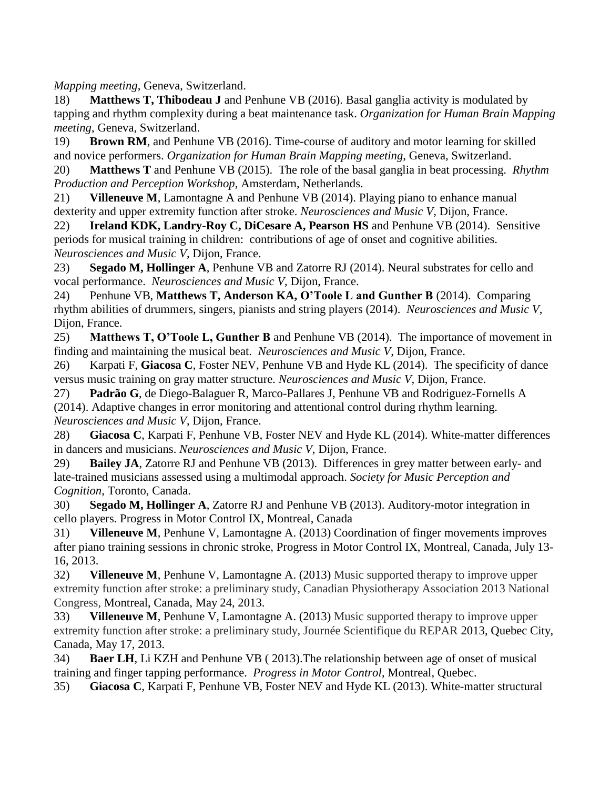*Mapping meeting*, Geneva, Switzerland.

18) **Matthews T, Thibodeau J** and Penhune VB (2016). Basal ganglia activity is modulated by tapping and rhythm complexity during a beat maintenance task. *Organization for Human Brain Mapping meeting*, Geneva, Switzerland.

19) **Brown RM**, and Penhune VB (2016). Time-course of auditory and motor learning for skilled and novice performers. *Organization for Human Brain Mapping meeting*, Geneva, Switzerland.

20) **Matthews T** and Penhune VB (2015). The role of the basal ganglia in beat processing. *Rhythm Production and Perception Workshop*, Amsterdam, Netherlands.

21) **Villeneuve M**, Lamontagne A and Penhune VB (2014). Playing piano to enhance manual dexterity and upper extremity function after stroke. *Neurosciences and Music V*, Dijon, France.

22) **Ireland KDK, Landry-Roy C, DiCesare A, Pearson HS** and Penhune VB (2014). Sensitive periods for musical training in children: contributions of age of onset and cognitive abilities. *Neurosciences and Music V*, Dijon, France.

23) **Segado M, Hollinger A**, Penhune VB and Zatorre RJ (2014). Neural substrates for cello and vocal performance. *Neurosciences and Music V*, Dijon, France.

24) Penhune VB, **Matthews T, Anderson KA, O'Toole L and Gunther B** (2014). Comparing rhythm abilities of drummers, singers, pianists and string players (2014). *Neurosciences and Music V*, Dijon, France.

25) **Matthews T, O'Toole L, Gunther B** and Penhune VB (2014). The importance of movement in finding and maintaining the musical beat. *Neurosciences and Music V*, Dijon, France.

26) Karpati F, **Giacosa C**, Foster NEV, Penhune VB and Hyde KL (2014). The specificity of dance versus music training on gray matter structure. *Neurosciences and Music V*, Dijon, France.

27) **Padrão G**, de Diego-Balaguer R, Marco-Pallares J, Penhune VB and Rodriguez-Fornells A (2014). Adaptive changes in error monitoring and attentional control during rhythm learning. *Neurosciences and Music V*, Dijon, France.

28) **Giacosa C**, Karpati F, Penhune VB, Foster NEV and Hyde KL (2014). White-matter differences in dancers and musicians. *Neurosciences and Music V*, Dijon, France.

29) **Bailey JA**, Zatorre RJ and Penhune VB (2013). Differences in grey matter between early- and late-trained musicians assessed using a multimodal approach. *Society for Music Perception and Cognition*, Toronto, Canada.

30) **Segado M, Hollinger A**, Zatorre RJ and Penhune VB (2013). Auditory-motor integration in cello players. Progress in Motor Control IX, Montreal, Canada

31) **Villeneuve M**, Penhune V, Lamontagne A. (2013) Coordination of finger movements improves after piano training sessions in chronic stroke, Progress in Motor Control IX, Montreal, Canada, July 13- 16, 2013.

32) **Villeneuve M**, Penhune V, Lamontagne A. (2013) Music supported therapy to improve upper extremity function after stroke: a preliminary study, Canadian Physiotherapy Association 2013 National Congress, Montreal, Canada, May 24, 2013.

33) **Villeneuve M**, Penhune V, Lamontagne A. (2013) Music supported therapy to improve upper extremity function after stroke: a preliminary study, Journée Scientifique du REPAR 2013, Quebec City, Canada, May 17, 2013.

34) **Baer LH**, Li KZH and Penhune VB ( 2013).The relationship between age of onset of musical training and finger tapping performance. *Progress in Motor Control*, Montreal, Quebec.

35) **Giacosa C**, Karpati F, Penhune VB, Foster NEV and Hyde KL (2013). White-matter structural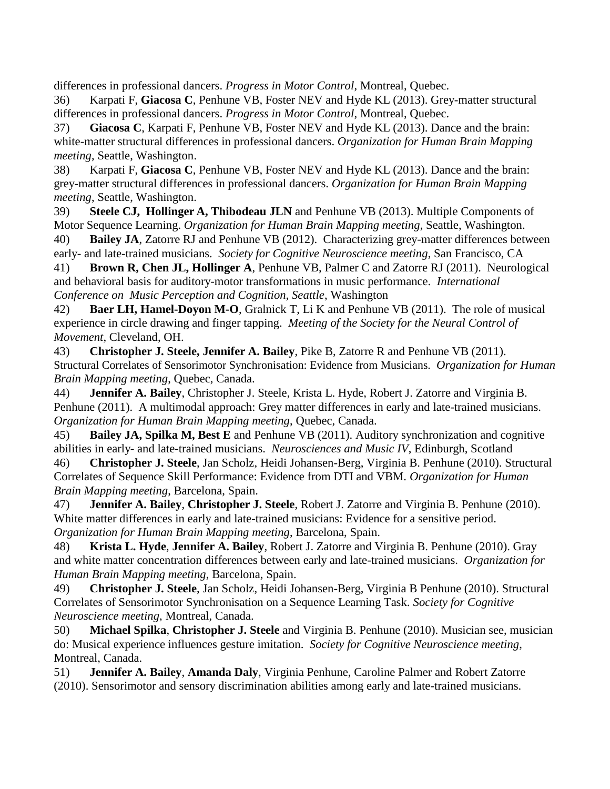differences in professional dancers. *Progress in Motor Control*, Montreal, Quebec.

36) Karpati F, **Giacosa C**, Penhune VB, Foster NEV and Hyde KL (2013). Grey-matter structural differences in professional dancers. *Progress in Motor Control*, Montreal, Quebec.

37) **Giacosa C**, Karpati F, Penhune VB, Foster NEV and Hyde KL (2013). Dance and the brain: white-matter structural differences in professional dancers. *Organization for Human Brain Mapping meeting*, Seattle, Washington.

38) Karpati F, **Giacosa C**, Penhune VB, Foster NEV and Hyde KL (2013). Dance and the brain: grey-matter structural differences in professional dancers. *Organization for Human Brain Mapping meeting*, Seattle, Washington.

39) **Steele CJ, Hollinger A, Thibodeau JLN** and Penhune VB (2013). Multiple Components of Motor Sequence Learning. *Organization for Human Brain Mapping meeting*, Seattle, Washington.

40) **Bailey JA**, Zatorre RJ and Penhune VB (2012). Characterizing grey-matter differences between early- and late-trained musicians. *Society for Cognitive Neuroscience meeting*, San Francisco, CA

41) **Brown R, Chen JL, Hollinger A**, Penhune VB, Palmer C and Zatorre RJ (2011). Neurological and behavioral basis for auditory-motor transformations in music performance. *International Conference on Music Perception and Cognition, Seattle*, Washington

42) **Baer LH, Hamel-Doyon M-O**, Gralnick T, Li K and Penhune VB (2011). The role of musical experience in circle drawing and finger tapping. *Meeting of the Society for the Neural Control of Movement*, Cleveland, OH.

43) **Christopher J. Steele, Jennifer A. Bailey**, Pike B, Zatorre R and Penhune VB (2011). Structural Correlates of Sensorimotor Synchronisation: Evidence from Musicians. *Organization for Human Brain Mapping meeting*, Quebec, Canada.

44) **Jennifer A. Bailey**, Christopher J. Steele, Krista L. Hyde, Robert J. Zatorre and Virginia B. Penhune (2011). A multimodal approach: Grey matter differences in early and late-trained musicians. *Organization for Human Brain Mapping meeting*, Quebec, Canada.

45) **Bailey JA, Spilka M, Best E** and Penhune VB (2011). Auditory synchronization and cognitive abilities in early- and late-trained musicians. *Neurosciences and Music IV*, Edinburgh, Scotland

46) **Christopher J. Steele**, Jan Scholz, Heidi Johansen-Berg, Virginia B. Penhune (2010). Structural Correlates of Sequence Skill Performance: Evidence from DTI and VBM. *Organization for Human Brain Mapping meeting*, Barcelona, Spain.

47) **Jennifer A. Bailey**, **Christopher J. Steele**, Robert J. Zatorre and Virginia B. Penhune (2010). White matter differences in early and late-trained musicians: Evidence for a sensitive period. *Organization for Human Brain Mapping meeting*, Barcelona, Spain.

48) **Krista L. Hyde**, **Jennifer A. Bailey**, Robert J. Zatorre and Virginia B. Penhune (2010). Gray and white matter concentration differences between early and late-trained musicians. *Organization for Human Brain Mapping meeting*, Barcelona, Spain.

49) **Christopher J. Steele**, Jan Scholz, Heidi Johansen-Berg, Virginia B Penhune (2010). Structural Correlates of Sensorimotor Synchronisation on a Sequence Learning Task. *Society for Cognitive Neuroscience meeting*, Montreal, Canada.

50) **Michael Spilka**, **Christopher J. Steele** and Virginia B. Penhune (2010). Musician see, musician do: Musical experience influences gesture imitation. *Society for Cognitive Neuroscience meeting*, Montreal, Canada.

51) **Jennifer A. Bailey**, **Amanda Daly**, Virginia Penhune, Caroline Palmer and Robert Zatorre (2010). Sensorimotor and sensory discrimination abilities among early and late-trained musicians.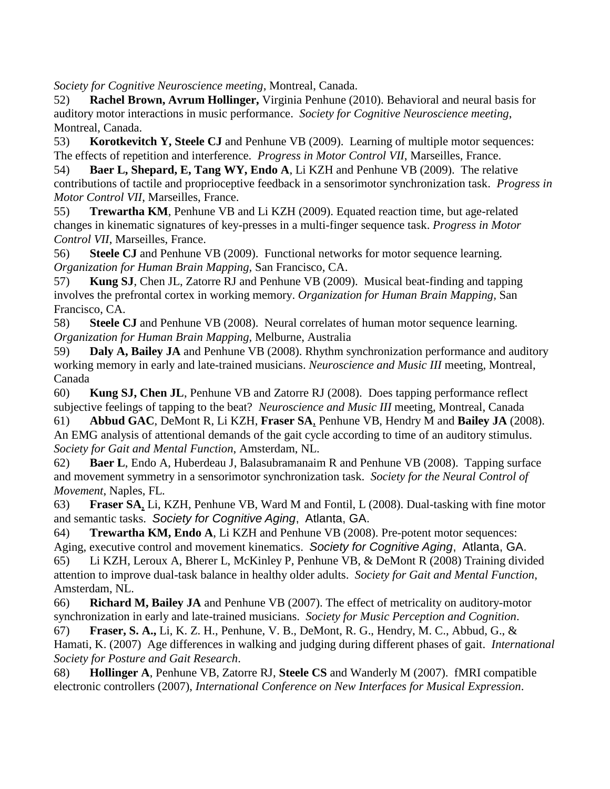*Society for Cognitive Neuroscience meeting*, Montreal, Canada.

52) **Rachel Brown, Avrum Hollinger,** Virginia Penhune (2010). Behavioral and neural basis for auditory motor interactions in music performance. *Society for Cognitive Neuroscience meeting*, Montreal, Canada.

53) **Korotkevitch Y, Steele CJ** and Penhune VB (2009). Learning of multiple motor sequences: The effects of repetition and interference. *Progress in Motor Control VII*, Marseilles, France.

54) **Baer L, Shepard, E, Tang WY, Endo A**, Li KZH and Penhune VB (2009). The relative contributions of tactile and proprioceptive feedback in a sensorimotor synchronization task. *Progress in Motor Control VII*, Marseilles, France.

55) **Trewartha KM**, Penhune VB and Li KZH (2009). Equated reaction time, but age-related changes in kinematic signatures of key-presses in a multi-finger sequence task. *Progress in Motor Control VII*, Marseilles, France.

56) **Steele CJ** and Penhune VB (2009). Functional networks for motor sequence learning. *Organization for Human Brain Mapping,* San Francisco, CA.

57) **Kung SJ**, Chen JL, Zatorre RJ and Penhune VB (2009). Musical beat-finding and tapping involves the prefrontal cortex in working memory. *Organization for Human Brain Mapping,* San Francisco, CA.

58) **Steele CJ** and Penhune VB (2008). Neural correlates of human motor sequence learning. *Organization for Human Brain Mapping*, Melburne, Australia

59) **Daly A, Bailey JA** and Penhune VB (2008). Rhythm synchronization performance and auditory working memory in early and late-trained musicians. *Neuroscience and Music III* meeting, Montreal, Canada

60) **Kung SJ, Chen JL**, Penhune VB and Zatorre RJ (2008). Does tapping performance reflect subjective feelings of tapping to the beat? *Neuroscience and Music III* meeting, Montreal, Canada

61) **Abbud GAC**, DeMont R, Li KZH, **Fraser SA**, Penhune VB, Hendry M and **Bailey JA** (2008). An EMG analysis of attentional demands of the gait cycle according to time of an auditory stimulus. *Society for Gait and Mental Function*, Amsterdam, NL.

62) **Baer L**, Endo A, Huberdeau J, Balasubramanaim R and Penhune VB (2008). Tapping surface and movement symmetry in a sensorimotor synchronization task. *Society for the Neural Control of Movement*, Naples, FL.

63) **Fraser SA**, Li, KZH, Penhune VB, Ward M and Fontil, L (2008). Dual-tasking with fine motor and semantic tasks. *Society for Cognitive Aging*, Atlanta, GA.

64) **Trewartha KM, Endo A**, Li KZH and Penhune VB (2008). Pre-potent motor sequences: Aging, executive control and movement kinematics. *Society for Cognitive Aging*, Atlanta, GA.

65) Li KZH, Leroux A, Bherer L, McKinley P, Penhune VB, & DeMont R (2008) Training divided attention to improve dual-task balance in healthy older adults. *Society for Gait and Mental Function*, Amsterdam, NL.

66) **Richard M, Bailey JA** and Penhune VB (2007). The effect of metricality on auditory-motor synchronization in early and late-trained musicians. *Society for Music Perception and Cognition*.

67) **Fraser, S. A.,** Li, K. Z. H., Penhune, V. B., DeMont, R. G., Hendry, M. C., Abbud, G., & Hamati, K. (2007) Age differences in walking and judging during different phases of gait. *International Society for Posture and Gait Research*.

68) **Hollinger A**, Penhune VB, Zatorre RJ, **Steele CS** and Wanderly M (2007). fMRI compatible electronic controllers (2007), *International Conference on New Interfaces for Musical Expression*.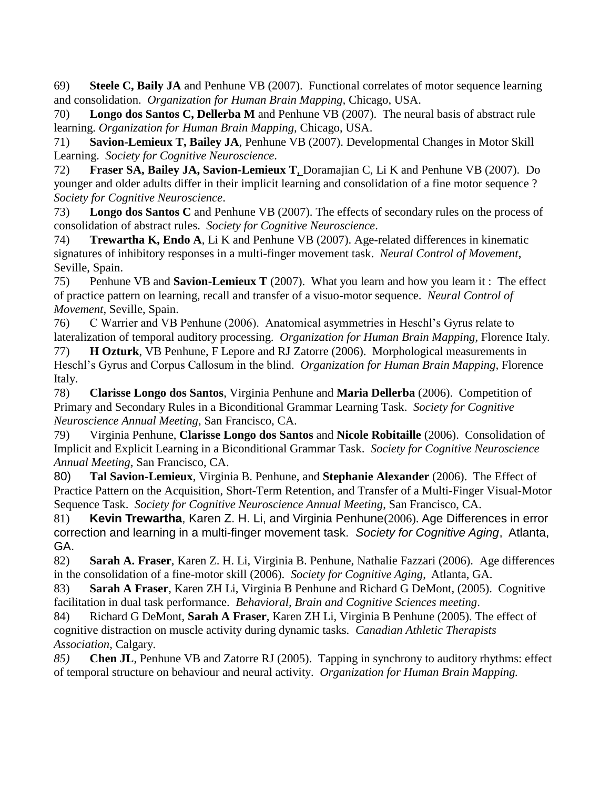69) **Steele C, Baily JA** and Penhune VB (2007). Functional correlates of motor sequence learning and consolidation. *Organization for Human Brain Mapping,* Chicago, USA.

70) **Longo dos Santos C, Dellerba M** and Penhune VB (2007). The neural basis of abstract rule learning. *Organization for Human Brain Mapping,* Chicago, USA.

71) **Savion-Lemieux T, Bailey JA**, Penhune VB (2007). Developmental Changes in Motor Skill Learning. *Society for Cognitive Neuroscience*.

72) **Fraser SA, Bailey JA, Savion-Lemieux T**, Doramajian C, Li K and Penhune VB (2007). Do younger and older adults differ in their implicit learning and consolidation of a fine motor sequence ? *Society for Cognitive Neuroscience*.

73) **Longo dos Santos C** and Penhune VB (2007). The effects of secondary rules on the process of consolidation of abstract rules. *Society for Cognitive Neuroscience*.

74) **Trewartha K, Endo A**, Li K and Penhune VB (2007). Age-related differences in kinematic signatures of inhibitory responses in a multi-finger movement task. *Neural Control of Movement*, Seville, Spain.

75) Penhune VB and **Savion-Lemieux T** (2007). What you learn and how you learn it : The effect of practice pattern on learning, recall and transfer of a visuo-motor sequence. *Neural Control of Movement*, Seville, Spain.

76) C Warrier and VB Penhune (2006). Anatomical asymmetries in Heschl's Gyrus relate to lateralization of temporal auditory processing. *Organization for Human Brain Mapping,* Florence Italy.

77) **H Ozturk**, VB Penhune, F Lepore and RJ Zatorre (2006). Morphological measurements in Heschl's Gyrus and Corpus Callosum in the blind. *Organization for Human Brain Mapping,* Florence Italy.

78) **Clarisse Longo dos Santos**, Virginia Penhune and **Maria Dellerba** (2006). Competition of Primary and Secondary Rules in a Biconditional Grammar Learning Task. *Society for Cognitive Neuroscience Annual Meeting*, San Francisco, CA.

79) Virginia Penhune, **Clarisse Longo dos Santos** and **Nicole Robitaille** (2006). Consolidation of Implicit and Explicit Learning in a Biconditional Grammar Task. *Society for Cognitive Neuroscience Annual Meeting*, San Francisco, CA.

80) **Tal Savion-Lemieux**, Virginia B. Penhune, and **Stephanie Alexander** (2006). The Effect of Practice Pattern on the Acquisition, Short-Term Retention, and Transfer of a Multi-Finger Visual-Motor Sequence Task. *Society for Cognitive Neuroscience Annual Meeting*, San Francisco, CA.

81) **Kevin Trewartha**, Karen Z. H. Li, and Virginia Penhune(2006). Age Differences in error correction and learning in a multi-finger movement task. *Society for Cognitive Aging*, Atlanta, GA.

82) **Sarah A. Fraser**, Karen Z. H. Li, Virginia B. Penhune, Nathalie Fazzari (2006). Age differences in the consolidation of a fine-motor skill (2006). *Society for Cognitive Aging*, Atlanta, GA.

83) **Sarah A Fraser**, Karen ZH Li, Virginia B Penhune and Richard G DeMont, (2005). Cognitive facilitation in dual task performance. *Behavioral, Brain and Cognitive Sciences meeting*.

84) Richard G DeMont, **Sarah A Fraser**, Karen ZH Li, Virginia B Penhune (2005). The effect of cognitive distraction on muscle activity during dynamic tasks. *Canadian Athletic Therapists Association*, Calgary.

*85)* **Chen JL**, Penhune VB and Zatorre RJ (2005). Tapping in synchrony to auditory rhythms: effect of temporal structure on behaviour and neural activity. *Organization for Human Brain Mapping.*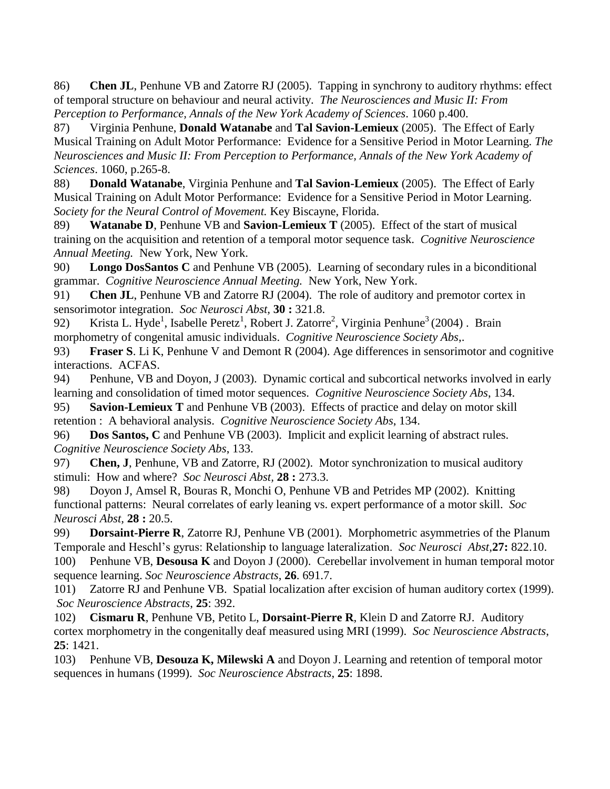86) **Chen JL**, Penhune VB and Zatorre RJ (2005). Tapping in synchrony to auditory rhythms: effect of temporal structure on behaviour and neural activity. *The Neurosciences and Music II: From Perception to Performance, Annals of the New York Academy of Sciences*. 1060 p.400.

87) Virginia Penhune, **Donald Watanabe** and **Tal Savion-Lemieux** (2005). The Effect of Early Musical Training on Adult Motor Performance: Evidence for a Sensitive Period in Motor Learning. *The Neurosciences and Music II: From Perception to Performance, Annals of the New York Academy of Sciences*. 1060, p.265-8.

88) **Donald Watanabe**, Virginia Penhune and **Tal Savion-Lemieux** (2005). The Effect of Early Musical Training on Adult Motor Performance: Evidence for a Sensitive Period in Motor Learning. *Society for the Neural Control of Movement.* Key Biscayne, Florida.

89) **Watanabe D**, Penhune VB and **Savion-Lemieux T** (2005). Effect of the start of musical training on the acquisition and retention of a temporal motor sequence task. *Cognitive Neuroscience Annual Meeting.* New York, New York.

90) **Longo DosSantos C** and Penhune VB (2005). Learning of secondary rules in a biconditional grammar. *Cognitive Neuroscience Annual Meeting.* New York, New York.

91) **Chen JL**, Penhune VB and Zatorre RJ (2004). The role of auditory and premotor cortex in sensorimotor integration. *Soc Neurosci Abst,* **30 :** 321.8.

92) Krista L. Hyde<sup>1</sup>, Isabelle Peretz<sup>1</sup>, Robert J. Zatorre<sup>2</sup>, Virginia Penhune<sup>3</sup> (2004). Brain morphometry of congenital amusic individuals. *Cognitive Neuroscience Society Abs*,.

93) **Fraser S**. Li K, Penhune V and Demont R (2004). Age differences in sensorimotor and cognitive interactions. ACFAS.

94) Penhune, VB and Doyon, J (2003). Dynamic cortical and subcortical networks involved in early learning and consolidation of timed motor sequences. *Cognitive Neuroscience Society Abs*, 134.

95) **Savion-Lemieux T** and Penhune VB (2003). Effects of practice and delay on motor skill retention : A behavioral analysis. *Cognitive Neuroscience Society Abs*, 134.

96) **Dos Santos, C** and Penhune VB (2003). Implicit and explicit learning of abstract rules. *Cognitive Neuroscience Society Abs*, 133.

97) **Chen, J**, Penhune, VB and Zatorre, RJ (2002). Motor synchronization to musical auditory stimuli: How and where? *Soc Neurosci Abst,* **28 :** 273.3.

98) Doyon J, Amsel R, Bouras R, Monchi O, Penhune VB and Petrides MP (2002). Knitting functional patterns: Neural correlates of early leaning vs. expert performance of a motor skill. *Soc Neurosci Abst,* **28 :** 20.5.

99) **Dorsaint-Pierre R**, Zatorre RJ, Penhune VB (2001). Morphometric asymmetries of the Planum Temporale and Heschl's gyrus: Relationship to language lateralization. *Soc Neurosci Abst,***27:** 822.10.

100) Penhune VB, **Desousa K** and Doyon J (2000). Cerebellar involvement in human temporal motor sequence learning. *Soc Neuroscience Abstracts*, **26**. 691.7.

101) Zatorre RJ and Penhune VB. Spatial localization after excision of human auditory cortex (1999). *Soc Neuroscience Abstracts*, **25**: 392.

102) **Cismaru R**, Penhune VB, Petito L, **Dorsaint-Pierre R**, Klein D and Zatorre RJ. Auditory cortex morphometry in the congenitally deaf measured using MRI (1999). *Soc Neuroscience Abstracts*, **25**: 1421.

103) Penhune VB, **Desouza K, Milewski A** and Doyon J. Learning and retention of temporal motor sequences in humans (1999). *Soc Neuroscience Abstracts*, **25**: 1898.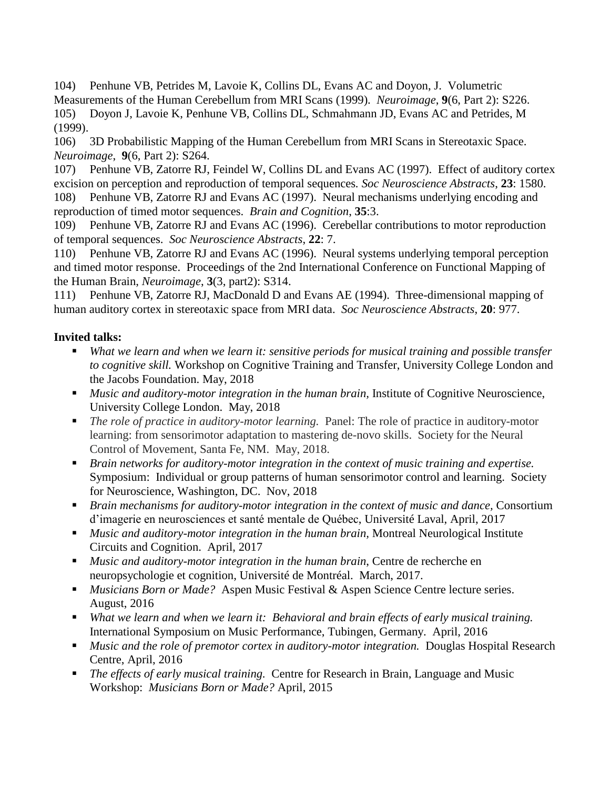104) Penhune VB, Petrides M, Lavoie K, Collins DL, Evans AC and Doyon, J. Volumetric Measurements of the Human Cerebellum from MRI Scans (1999). *Neuroimage*, **9**(6, Part 2): S226. 105) Doyon J, Lavoie K, Penhune VB, Collins DL, Schmahmann JD, Evans AC and Petrides, M (1999).

106) 3D Probabilistic Mapping of the Human Cerebellum from MRI Scans in Stereotaxic Space. *Neuroimage*, **9**(6, Part 2): S264.

107) Penhune VB, Zatorre RJ, Feindel W, Collins DL and Evans AC (1997). Effect of auditory cortex excision on perception and reproduction of temporal sequences*. Soc Neuroscience Abstracts*, **23**: 1580. 108) Penhune VB, Zatorre RJ and Evans AC (1997). Neural mechanisms underlying encoding and reproduction of timed motor sequences. *Brain and Cognition*, **35**:3.

109) Penhune VB, Zatorre RJ and Evans AC (1996). Cerebellar contributions to motor reproduction of temporal sequences. *Soc Neuroscience Abstracts*, **22**: 7.

110) Penhune VB, Zatorre RJ and Evans AC (1996). Neural systems underlying temporal perception and timed motor response. Proceedings of the 2nd International Conference on Functional Mapping of the Human Brain, *Neuroimage*, **3**(3, part2): S314.

111) Penhune VB, Zatorre RJ, MacDonald D and Evans AE (1994). Three-dimensional mapping of human auditory cortex in stereotaxic space from MRI data. *Soc Neuroscience Abstracts*, **20**: 977.

## **Invited talks:**

- *What we learn and when we learn it: sensitive periods for musical training and possible transfer to cognitive skill.* Workshop on Cognitive Training and Transfer, University College London and the Jacobs Foundation. May, 2018
- **Music and auditory-motor integration in the human brain, Institute of Cognitive Neuroscience,** University College London. May, 2018
- *The role of practice in auditory-motor learning.* Panel: The role of practice in auditory-motor learning: from sensorimotor adaptation to mastering de-novo skills. Society for the Neural Control of Movement, Santa Fe, NM. May, 2018.
- *Brain networks for auditory-motor integration in the context of music training and expertise.* Symposium: Individual or group patterns of human sensorimotor control and learning. Society for Neuroscience, Washington, DC. Nov, 2018
- *Brain mechanisms for auditory-motor integration in the context of music and dance,* Consortium d'imagerie en neurosciences et santé mentale de Québec, Université Laval, April, 2017
- *Music and auditory-motor integration in the human brain,* Montreal Neurological Institute Circuits and Cognition. April, 2017
- *Music and auditory-motor integration in the human brain*, Centre de recherche en neuropsychologie et cognition, Université de Montréal. March, 2017.
- *Musicians Born or Made?* Aspen Music Festival & Aspen Science Centre lecture series. August, 2016
- *What we learn and when we learn it: Behavioral and brain effects of early musical training.*  International Symposium on Music Performance, Tubingen, Germany. April, 2016
- *Music and the role of premotor cortex in auditory-motor integration.* Douglas Hospital Research Centre, April, 2016
- *The effects of early musical training.* Centre for Research in Brain, Language and Music Workshop: *Musicians Born or Made?* April, 2015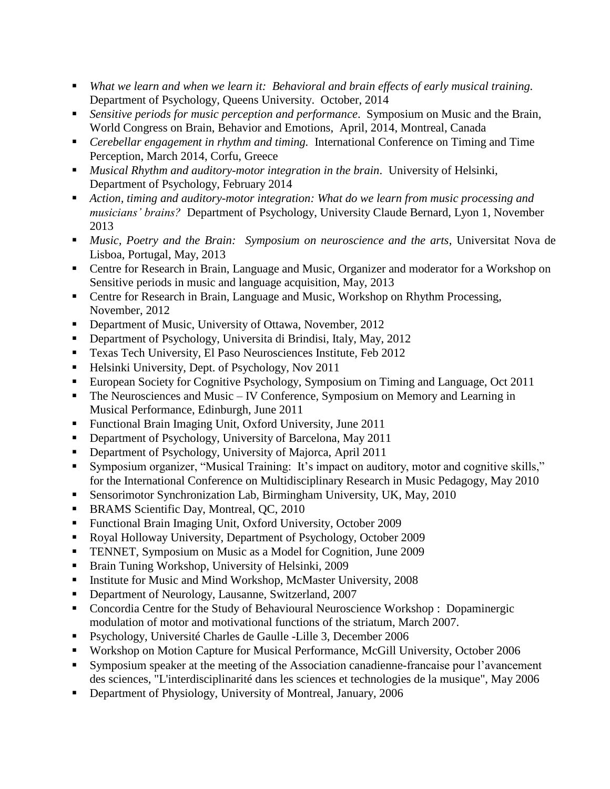- *What we learn and when we learn it: Behavioral and brain effects of early musical training.*  Department of Psychology, Queens University. October, 2014
- *Sensitive periods for music perception and performance*. Symposium on Music and the Brain, World Congress on Brain, Behavior and Emotions, April, 2014, Montreal, Canada
- *Cerebellar engagement in rhythm and timing.* International Conference on Timing and Time Perception, March 2014, Corfu, Greece
- *Musical Rhythm and auditory-motor integration in the brain*. University of Helsinki, Department of Psychology, February 2014
- *Action, timing and auditory-motor integration: What do we learn from music processing and musicians' brains?* Department of Psychology, University Claude Bernard, Lyon 1, November 2013
- *Music, Poetry and the Brain: Symposium on neuroscience and the arts*, Universitat Nova de Lisboa, Portugal, May, 2013
- Centre for Research in Brain, Language and Music, Organizer and moderator for a Workshop on Sensitive periods in music and language acquisition, May, 2013
- Centre for Research in Brain, Language and Music, Workshop on Rhythm Processing, November, 2012
- Department of Music, University of Ottawa, November, 2012
- Department of Psychology, Universita di Brindisi, Italy, May, 2012
- **Texas Tech University, El Paso Neurosciences Institute, Feb 2012**
- $\blacksquare$  Helsinki University, Dept. of Psychology, Nov 2011
- European Society for Cognitive Psychology, Symposium on Timing and Language, Oct 2011
- $\blacksquare$  The Neurosciences and Music IV Conference, Symposium on Memory and Learning in Musical Performance, Edinburgh, June 2011
- Functional Brain Imaging Unit, Oxford University, June 2011
- Department of Psychology, University of Barcelona, May 2011
- Department of Psychology, University of Majorca, April 2011
- Symposium organizer, "Musical Training: It's impact on auditory, motor and cognitive skills," for the International Conference on Multidisciplinary Research in Music Pedagogy, May 2010
- Sensorimotor Synchronization Lab, Birmingham University, UK, May, 2010
- **BRAMS** Scientific Day, Montreal, QC, 2010
- Functional Brain Imaging Unit, Oxford University, October 2009
- Royal Holloway University, Department of Psychology, October 2009
- **TENNET, Symposium on Music as a Model for Cognition, June 2009**
- **Brain Tuning Workshop, University of Helsinki, 2009**
- Institute for Music and Mind Workshop, McMaster University, 2008
- Department of Neurology, Lausanne, Switzerland, 2007
- Concordia Centre for the Study of Behavioural Neuroscience Workshop : Dopaminergic modulation of motor and motivational functions of the striatum, March 2007.
- Psychology, Université Charles de Gaulle -Lille 3, December 2006
- Workshop on Motion Capture for Musical Performance, McGill University, October 2006
- Symposium speaker at the meeting of the Association canadienne-francaise pour l'avancement des sciences, "L'interdisciplinarité dans les sciences et technologies de la musique", May 2006
- Department of Physiology, University of Montreal, January, 2006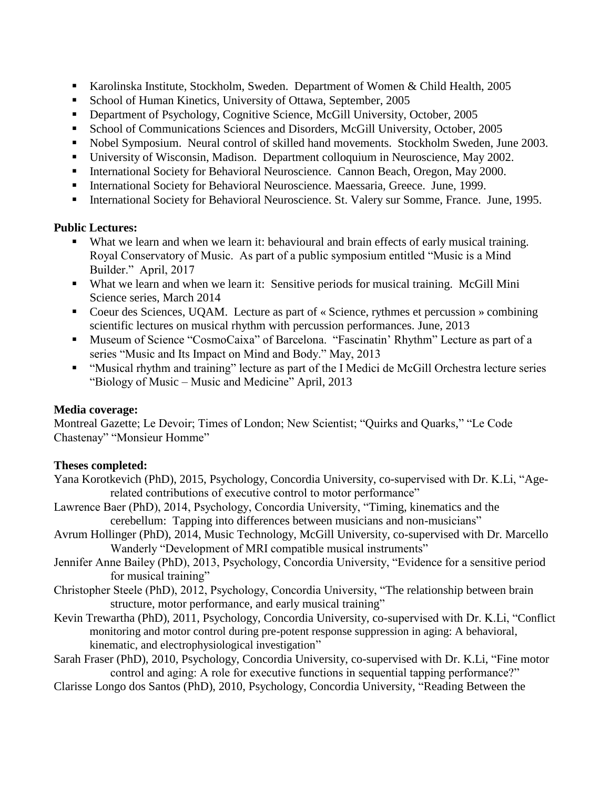- Karolinska Institute, Stockholm, Sweden. Department of Women & Child Health, 2005
- School of Human Kinetics, University of Ottawa, September, 2005
- **•** Department of Psychology, Cognitive Science, McGill University, October, 2005
- School of Communications Sciences and Disorders, McGill University, October, 2005
- Nobel Symposium. Neural control of skilled hand movements. Stockholm Sweden, June 2003.
- University of Wisconsin, Madison. Department colloquium in Neuroscience, May 2002.
- International Society for Behavioral Neuroscience. Cannon Beach, Oregon, May 2000.
- International Society for Behavioral Neuroscience. Maessaria, Greece. June, 1999.
- International Society for Behavioral Neuroscience. St. Valery sur Somme, France. June, 1995.

## **Public Lectures:**

- What we learn and when we learn it: behavioural and brain effects of early musical training. Royal Conservatory of Music. As part of a public symposium entitled "Music is a Mind Builder." April, 2017
- What we learn and when we learn it: Sensitive periods for musical training. McGill Mini Science series, March 2014
- Coeur des Sciences, UQAM. Lecture as part of « Science, rythmes et percussion » combining scientific lectures on musical rhythm with percussion performances. June, 2013
- Museum of Science "CosmoCaixa" of Barcelona. "Fascinatin' Rhythm" Lecture as part of a series "Music and Its Impact on Mind and Body." May, 2013
- "Musical rhythm and training" lecture as part of the I Medici de McGill Orchestra lecture series "Biology of Music – Music and Medicine" April, 2013

## **Media coverage:**

Montreal Gazette; Le Devoir; Times of London; New Scientist; "Quirks and Quarks," "Le Code Chastenay" "Monsieur Homme"

## **Theses completed:**

- Yana Korotkevich (PhD), 2015, Psychology, Concordia University, co-supervised with Dr. K.Li, "Agerelated contributions of executive control to motor performance"
- Lawrence Baer (PhD), 2014, Psychology, Concordia University, "Timing, kinematics and the cerebellum: Tapping into differences between musicians and non-musicians"
- Avrum Hollinger (PhD), 2014, Music Technology, McGill University, co-supervised with Dr. Marcello Wanderly "Development of MRI compatible musical instruments"
- Jennifer Anne Bailey (PhD), 2013, Psychology, Concordia University, "Evidence for a sensitive period for musical training"
- Christopher Steele (PhD), 2012, Psychology, Concordia University, "The relationship between brain structure, motor performance, and early musical training"
- Kevin Trewartha (PhD), 2011, Psychology, Concordia University, co-supervised with Dr. K.Li, "Conflict monitoring and motor control during pre-potent response suppression in aging: A behavioral, kinematic, and electrophysiological investigation"
- Sarah Fraser (PhD), 2010, Psychology, Concordia University, co-supervised with Dr. K.Li, "Fine motor control and aging: A role for executive functions in sequential tapping performance?"
- Clarisse Longo dos Santos (PhD), 2010, Psychology, Concordia University, "Reading Between the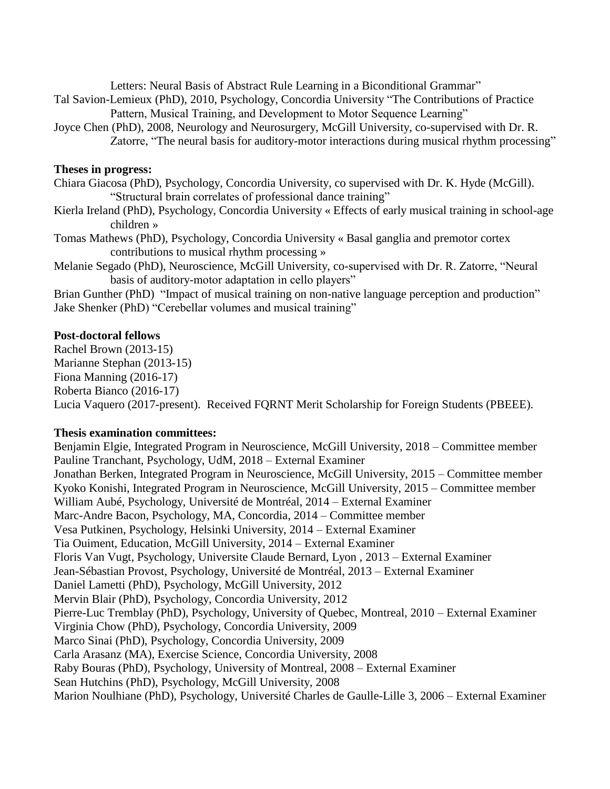Letters: Neural Basis of Abstract Rule Learning in a Biconditional Grammar"

- Tal Savion-Lemieux (PhD), 2010, Psychology, Concordia University "The Contributions of Practice Pattern, Musical Training, and Development to Motor Sequence Learning"
- Joyce Chen (PhD), 2008, Neurology and Neurosurgery, McGill University, co-supervised with Dr. R. Zatorre, "The neural basis for auditory-motor interactions during musical rhythm processing"

#### **Theses in progress:**

Chiara Giacosa (PhD), Psychology, Concordia University, co supervised with Dr. K. Hyde (McGill). "Structural brain correlates of professional dance training"

- Kierla Ireland (PhD), Psychology, Concordia University « Effects of early musical training in school-age children »
- Tomas Mathews (PhD), Psychology, Concordia University « Basal ganglia and premotor cortex contributions to musical rhythm processing »
- Melanie Segado (PhD), Neuroscience, McGill University, co-supervised with Dr. R. Zatorre, "Neural basis of auditory-motor adaptation in cello players"

Brian Gunther (PhD) "Impact of musical training on non-native language perception and production" Jake Shenker (PhD) "Cerebellar volumes and musical training"

#### **Post-doctoral fellows**

Rachel Brown (2013-15) Marianne Stephan (2013-15) Fiona Manning (2016-17) Roberta Bianco (2016-17) Lucia Vaquero (2017-present). Received FQRNT Merit Scholarship for Foreign Students (PBEEE).

#### **Thesis examination committees:**

Benjamin Elgie, Integrated Program in Neuroscience, McGill University, 2018 – Committee member Pauline Tranchant, Psychology, UdM, 2018 – External Examiner Jonathan Berken, Integrated Program in Neuroscience, McGill University, 2015 – Committee member Kyoko Konishi, Integrated Program in Neuroscience, McGill University, 2015 – Committee member William Aubé, Psychology, Université de Montréal, 2014 – External Examiner Marc-Andre Bacon, Psychology, MA, Concordia, 2014 – Committee member Vesa Putkinen, Psychology, Helsinki University, 2014 – External Examiner Tia Ouiment, Education, McGill University, 2014 – External Examiner Floris Van Vugt, Psychology, Universite Claude Bernard, Lyon , 2013 – External Examiner Jean-Sébastian Provost, Psychology, Université de Montréal, 2013 – External Examiner Daniel Lametti (PhD), Psychology, McGill University, 2012 Mervin Blair (PhD), Psychology, Concordia University, 2012 Pierre-Luc Tremblay (PhD), Psychology, University of Quebec, Montreal, 2010 – External Examiner Virginia Chow (PhD), Psychology, Concordia University, 2009 Marco Sinai (PhD), Psychology, Concordia University, 2009 Carla Arasanz (MA), Exercise Science, Concordia University, 2008 Raby Bouras (PhD), Psychology, University of Montreal, 2008 – External Examiner Sean Hutchins (PhD), Psychology, McGill University, 2008 Marion Noulhiane (PhD), Psychology, Université Charles de Gaulle-Lille 3, 2006 – External Examiner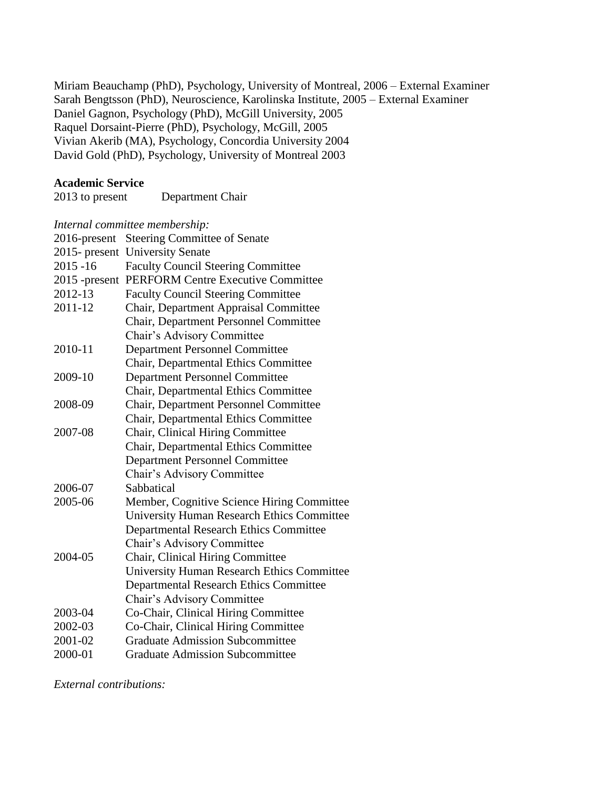Miriam Beauchamp (PhD), Psychology, University of Montreal, 2006 – External Examiner Sarah Bengtsson (PhD), Neuroscience, Karolinska Institute, 2005 – External Examiner Daniel Gagnon, Psychology (PhD), McGill University, 2005 Raquel Dorsaint-Pierre (PhD), Psychology, McGill, 2005 Vivian Akerib (MA), Psychology, Concordia University 2004 David Gold (PhD), Psychology, University of Montreal 2003

#### **Academic Service**

#### *Internal committee membership:*

| 2016-present     | <b>Steering Committee of Senate</b>               |
|------------------|---------------------------------------------------|
| $2015$ - present | <b>University Senate</b>                          |
| $2015 - 16$      | <b>Faculty Council Steering Committee</b>         |
| $2015$ -present  | <b>PERFORM Centre Executive Committee</b>         |
| 2012-13          | <b>Faculty Council Steering Committee</b>         |
| 2011-12          | Chair, Department Appraisal Committee             |
|                  | Chair, Department Personnel Committee             |
|                  | Chair's Advisory Committee                        |
| 2010-11          | <b>Department Personnel Committee</b>             |
|                  | Chair, Departmental Ethics Committee              |
| 2009-10          | <b>Department Personnel Committee</b>             |
|                  | Chair, Departmental Ethics Committee              |
| 2008-09          | Chair, Department Personnel Committee             |
|                  | Chair, Departmental Ethics Committee              |
| 2007-08          | Chair, Clinical Hiring Committee                  |
|                  | Chair, Departmental Ethics Committee              |
|                  | <b>Department Personnel Committee</b>             |
|                  | Chair's Advisory Committee                        |
| 2006-07          | Sabbatical                                        |
| 2005-06          | Member, Cognitive Science Hiring Committee        |
|                  | <b>University Human Research Ethics Committee</b> |
|                  | <b>Departmental Research Ethics Committee</b>     |
|                  | Chair's Advisory Committee                        |
| 2004-05          | Chair, Clinical Hiring Committee                  |
|                  | <b>University Human Research Ethics Committee</b> |
|                  | <b>Departmental Research Ethics Committee</b>     |
|                  | Chair's Advisory Committee                        |
| 2003-04          | Co-Chair, Clinical Hiring Committee               |
| 2002-03          | Co-Chair, Clinical Hiring Committee               |
| 2001-02          | <b>Graduate Admission Subcommittee</b>            |
| 2000-01          | <b>Graduate Admission Subcommittee</b>            |

*External contributions:*